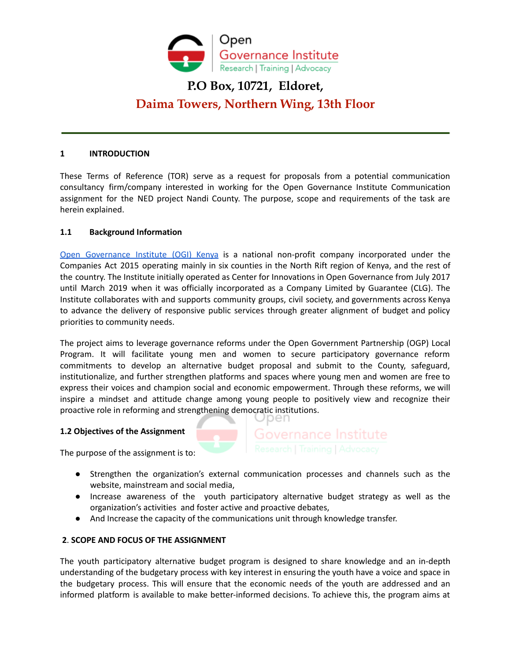

# **P.O Box, 10721, Eldoret, Daima Towers, Northern Wing, 13th Floor**

## **1 INTRODUCTION**

These Terms of Reference (TOR) serve as a request for proposals from a potential communication consultancy firm/company interested in working for the Open Governance Institute Communication assignment for the NED project Nandi County. The purpose, scope and requirements of the task are herein explained.

## **1.1 Background Information**

Open [Governance](https://opengovinstitute.org/) Institute (OGI) Kenya is a national non-profit company incorporated under the Companies Act 2015 operating mainly in six counties in the North Rift region of Kenya, and the rest of the country. The Institute initially operated as Center for Innovations in Open Governance from July 2017 until March 2019 when it was officially incorporated as a Company Limited by Guarantee (CLG). The Institute collaborates with and supports community groups, civil society, and governments across Kenya to advance the delivery of responsive public services through greater alignment of budget and policy priorities to community needs.

The project aims to leverage governance reforms under the Open Government Partnership (OGP) Local Program. It will facilitate young men and women to secure participatory governance reform commitments to develop an alternative budget proposal and submit to the County, safeguard, institutionalize, and further strengthen platforms and spaces where young men and women are free to express their voices and champion social and economic empowerment. Through these reforms, we will inspire a mindset and attitude change among young people to positively view and recognize their proactive role in reforming and strengthening democratic institutions.

## **1.2 Objectives of the Assignment**

The purpose of the assignment is to:

- Strengthen the organization's external communication processes and channels such as the website, mainstream and social media,
- Increase awareness of the youth participatory alternative budget strategy as well as the organization's activities and foster active and proactive debates,
- And Increase the capacity of the communications unit through knowledge transfer.

## **2**. **SCOPE AND FOCUS OF THE ASSIGNMENT**

The youth participatory alternative budget program is designed to share knowledge and an in-depth understanding of the budgetary process with key interest in ensuring the youth have a voice and space in the budgetary process. This will ensure that the economic needs of the youth are addressed and an informed platform is available to make better-informed decisions. To achieve this, the program aims at

Governance Institute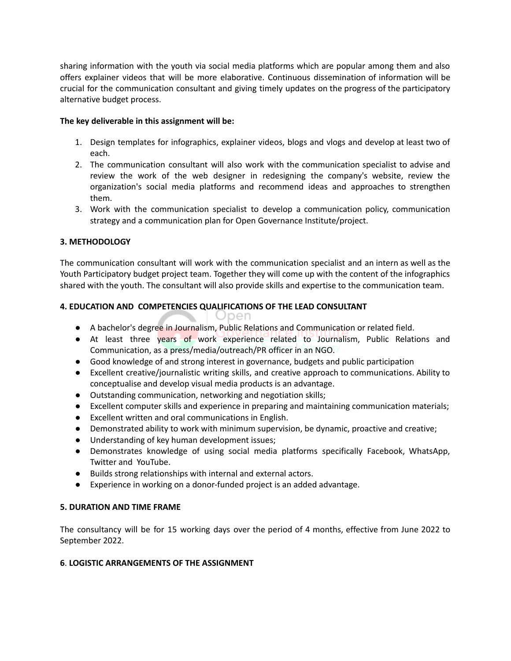sharing information with the youth via social media platforms which are popular among them and also offers explainer videos that will be more elaborative. Continuous dissemination of information will be crucial for the communication consultant and giving timely updates on the progress of the participatory alternative budget process.

## **The key deliverable in this assignment will be:**

- 1. Design templates for infographics, explainer videos, blogs and vlogs and develop at least two of each.
- 2. The communication consultant will also work with the communication specialist to advise and review the work of the web designer in redesigning the company's website, review the organization's social media platforms and recommend ideas and approaches to strengthen them.
- 3. Work with the communication specialist to develop a communication policy, communication strategy and a communication plan for Open Governance Institute/project.

# **3. METHODOLOGY**

The communication consultant will work with the communication specialist and an intern as well as the Youth Participatory budget project team. Together they will come up with the content of the infographics shared with the youth. The consultant will also provide skills and expertise to the communication team.

# **4. EDUCATION AND COMPETENCIES QUALIFICATIONS OF THE LEAD CONSULTANT**

- Open
- A bachelor's degree in Journalism, Public Relations and Communication or related field.
- At least three years of work experience related to Journalism, Public Relations and Communication, as a press/media/outreach/PR officer in an NGO.
- Good knowledge of and strong interest in governance, budgets and public participation
- Excellent creative/journalistic writing skills, and creative approach to communications. Ability to conceptualise and develop visual media products is an advantage.
- Outstanding communication, networking and negotiation skills;
- Excellent computer skills and experience in preparing and maintaining communication materials;
- Excellent written and oral communications in English.
- Demonstrated ability to work with minimum supervision, be dynamic, proactive and creative;
- Understanding of key human development issues;
- Demonstrates knowledge of using social media platforms specifically Facebook, WhatsApp, Twitter and YouTube.
- Builds strong relationships with internal and external actors.
- Experience in working on a donor-funded project is an added advantage.

## **5. DURATION AND TIME FRAME**

The consultancy will be for 15 working days over the period of 4 months, effective from June 2022 to September 2022.

## **6**. **LOGISTIC ARRANGEMENTS OF THE ASSIGNMENT**